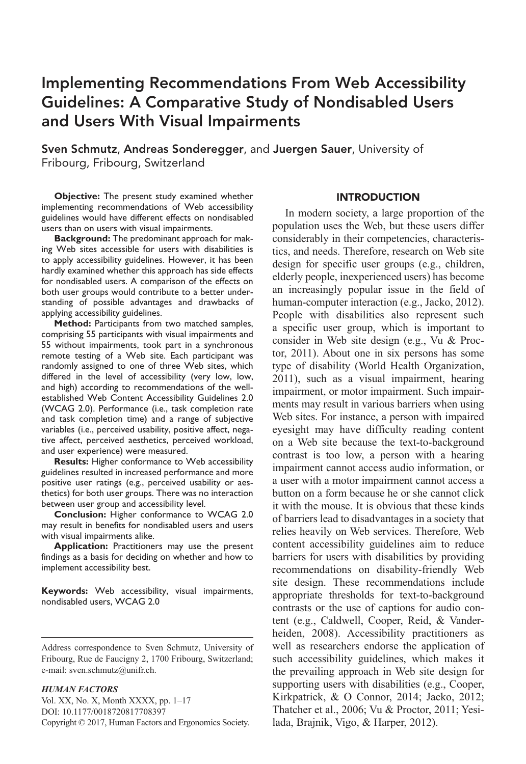# Implementing Recommendations From Web Accessibility Guidelines: A Comparative Study of Nondisabled Users and Users With Visual Impairments

Sven Schmutz, Andreas Sonderegger, and Juergen Sauer, University of Fribourg, Fribourg, Switzerland

**Objective:** The present study examined whether implementing recommendations of Web accessibility guidelines would have different effects on nondisabled users than on users with visual impairments.

**Background:** The predominant approach for making Web sites accessible for users with disabilities is to apply accessibility guidelines. However, it has been hardly examined whether this approach has side effects for nondisabled users. A comparison of the effects on both user groups would contribute to a better understanding of possible advantages and drawbacks of applying accessibility guidelines.

**Method:** Participants from two matched samples, comprising 55 participants with visual impairments and 55 without impairments, took part in a synchronous remote testing of a Web site. Each participant was randomly assigned to one of three Web sites, which differed in the level of accessibility (very low, low, and high) according to recommendations of the wellestablished Web Content Accessibility Guidelines 2.0 (WCAG 2.0). Performance (i.e., task completion rate and task completion time) and a range of subjective variables (i.e., perceived usability, positive affect, negative affect, perceived aesthetics, perceived workload, and user experience) were measured.

**Results:** Higher conformance to Web accessibility guidelines resulted in increased performance and more positive user ratings (e.g., perceived usability or aesthetics) for both user groups. There was no interaction between user group and accessibility level.

**Conclusion:** Higher conformance to WCAG 2.0 may result in benefits for nondisabled users and users with visual impairments alike.

**Application:** Practitioners may use the present findings as a basis for deciding on whether and how to implement accessibility best.

**Keywords:** Web accessibility, visual impairments, nondisabled users, WCAG 2.0

#### *HUMAN FACTORS*

Vol. XX, No. X, Month XXXX, pp.  $1-17$ DOI: 10.1177/0018720817708397 Copyright © 2017, Human Factors and Ergonomics Society.

## INTRODUCTION

In modern society, a large proportion of the population uses the Web, but these users differ considerably in their competencies, characteristics, and needs. Therefore, research on Web site design for specific user groups (e.g., children, elderly people, inexperienced users) has become an increasingly popular issue in the field of human-computer interaction (e.g., Jacko, 2012). People with disabilities also represent such a specific user group, which is important to consider in Web site design (e.g., Vu & Proctor, 2011). About one in six persons has some type of disability (World Health Organization, 2011), such as a visual impairment, hearing impairment, or motor impairment. Such impairments may result in various barriers when using Web sites. For instance, a person with impaired eyesight may have difficulty reading content on a Web site because the text-to-background contrast is too low, a person with a hearing impairment cannot access audio information, or a user with a motor impairment cannot access a button on a form because he or she cannot click it with the mouse. It is obvious that these kinds of barriers lead to disadvantages in a society that relies heavily on Web services. Therefore, Web content accessibility guidelines aim to reduce barriers for users with disabilities by providing recommendations on disability-friendly Web site design. These recommendations include appropriate thresholds for text-to-background contrasts or the use of captions for audio content (e.g., Caldwell, Cooper, Reid, & Vanderheiden, 2008). Accessibility practitioners as well as researchers endorse the application of such accessibility guidelines, which makes it the prevailing approach in Web site design for supporting users with disabilities (e.g., Cooper, Kirkpatrick, & O Connor, 2014; Jacko, 2012; Thatcher et al., 2006; Vu & Proctor, 2011; Yesilada, Brajnik, Vigo, & Harper, 2012).

Address correspondence to Sven Schmutz, University of Fribourg, Rue de Faucigny 2, 1700 Fribourg, Switzerland; e-mail: sven.schmutz@unifr.ch.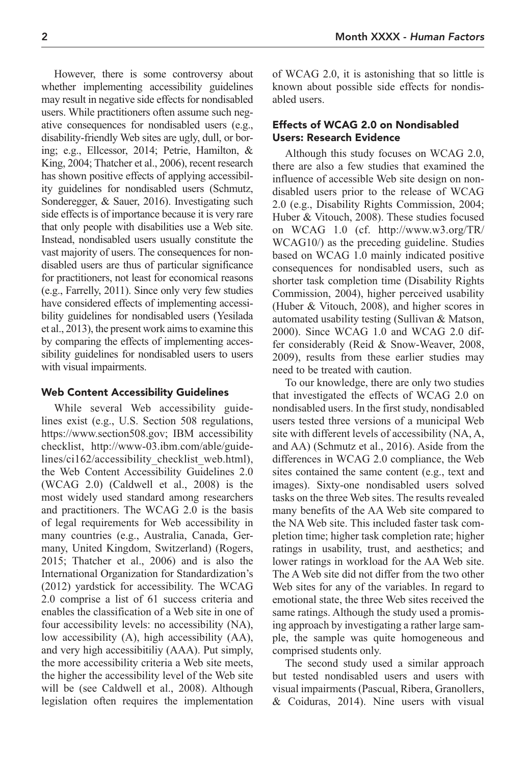However, there is some controversy about whether implementing accessibility guidelines may result in negative side effects for nondisabled users. While practitioners often assume such negative consequences for nondisabled users (e.g., disability-friendly Web sites are ugly, dull, or boring; e.g., Ellcessor, 2014; Petrie, Hamilton, & King, 2004; Thatcher et al., 2006), recent research has shown positive effects of applying accessibility guidelines for nondisabled users (Schmutz, Sonderegger, & Sauer, 2016). Investigating such side effects is of importance because it is very rare that only people with disabilities use a Web site. Instead, nondisabled users usually constitute the vast majority of users. The consequences for nondisabled users are thus of particular significance for practitioners, not least for economical reasons (e.g., Farrelly, 2011). Since only very few studies have considered effects of implementing accessibility guidelines for nondisabled users (Yesilada et al., 2013), the present work aims to examine this by comparing the effects of implementing accessibility guidelines for nondisabled users to users with visual impairments.

## Web Content Accessibility Guidelines

While several Web accessibility guidelines exist (e.g., U.S. Section 508 regulations, https://www.section508.gov; IBM accessibility checklist, http://www-03.ibm.com/able/guidelines/ci162/accessibility\_checklist\_web.html), the Web Content Accessibility Guidelines 2.0 (WCAG 2.0) (Caldwell et al., 2008) is the most widely used standard among researchers and practitioners. The WCAG 2.0 is the basis of legal requirements for Web accessibility in many countries (e.g., Australia, Canada, Germany, United Kingdom, Switzerland) (Rogers, 2015; Thatcher et al., 2006) and is also the International Organization for Standardization's (2012) yardstick for accessibility. The WCAG 2.0 comprise a list of 61 success criteria and enables the classification of a Web site in one of four accessibility levels: no accessibility (NA), low accessibility (A), high accessibility (AA), and very high accessibitiliy (AAA). Put simply, the more accessibility criteria a Web site meets, the higher the accessibility level of the Web site will be (see Caldwell et al., 2008). Although legislation often requires the implementation

of WCAG 2.0, it is astonishing that so little is known about possible side effects for nondisabled users.

## Effects of WCAG 2.0 on Nondisabled Users: Research Evidence

Although this study focuses on WCAG 2.0, there are also a few studies that examined the influence of accessible Web site design on nondisabled users prior to the release of WCAG 2.0 (e.g., Disability Rights Commission, 2004; Huber & Vitouch, 2008). These studies focused on WCAG 1.0 (cf. http://www.w3.org/TR/ WCAG10/) as the preceding guideline. Studies based on WCAG 1.0 mainly indicated positive consequences for nondisabled users, such as shorter task completion time (Disability Rights Commission, 2004), higher perceived usability (Huber & Vitouch, 2008), and higher scores in automated usability testing (Sullivan & Matson, 2000). Since WCAG 1.0 and WCAG 2.0 differ considerably (Reid & Snow-Weaver, 2008, 2009), results from these earlier studies may need to be treated with caution.

To our knowledge, there are only two studies that investigated the effects of WCAG 2.0 on nondisabled users. In the first study, nondisabled users tested three versions of a municipal Web site with different levels of accessibility (NA, A, and AA) (Schmutz et al., 2016). Aside from the differences in WCAG 2.0 compliance, the Web sites contained the same content (e.g., text and images). Sixty-one nondisabled users solved tasks on the three Web sites. The results revealed many benefits of the AA Web site compared to the NA Web site. This included faster task completion time; higher task completion rate; higher ratings in usability, trust, and aesthetics; and lower ratings in workload for the AA Web site. The A Web site did not differ from the two other Web sites for any of the variables. In regard to emotional state, the three Web sites received the same ratings. Although the study used a promising approach by investigating a rather large sample, the sample was quite homogeneous and comprised students only.

The second study used a similar approach but tested nondisabled users and users with visual impairments (Pascual, Ribera, Granollers, & Coiduras, 2014). Nine users with visual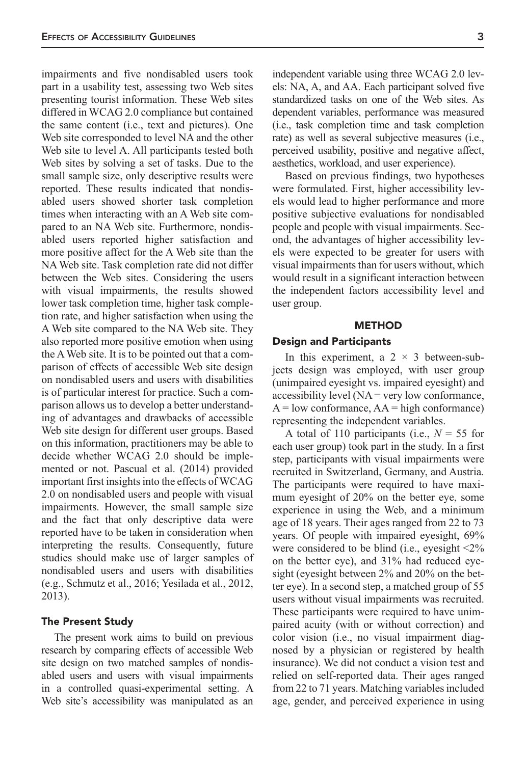impairments and five nondisabled users took part in a usability test, assessing two Web sites presenting tourist information. These Web sites differed in WCAG 2.0 compliance but contained the same content (i.e., text and pictures). One Web site corresponded to level NA and the other Web site to level A. All participants tested both Web sites by solving a set of tasks. Due to the small sample size, only descriptive results were reported. These results indicated that nondisabled users showed shorter task completion times when interacting with an A Web site compared to an NA Web site. Furthermore, nondisabled users reported higher satisfaction and more positive affect for the A Web site than the NA Web site. Task completion rate did not differ between the Web sites. Considering the users with visual impairments, the results showed lower task completion time, higher task completion rate, and higher satisfaction when using the A Web site compared to the NA Web site. They also reported more positive emotion when using the A Web site. It is to be pointed out that a comparison of effects of accessible Web site design on nondisabled users and users with disabilities is of particular interest for practice. Such a comparison allows us to develop a better understanding of advantages and drawbacks of accessible Web site design for different user groups. Based on this information, practitioners may be able to decide whether WCAG 2.0 should be implemented or not. Pascual et al. (2014) provided important first insights into the effects of WCAG 2.0 on nondisabled users and people with visual impairments. However, the small sample size and the fact that only descriptive data were reported have to be taken in consideration when interpreting the results. Consequently, future studies should make use of larger samples of nondisabled users and users with disabilities (e.g., Schmutz et al., 2016; Yesilada et al., 2012, 2013).

## The Present Study

The present work aims to build on previous research by comparing effects of accessible Web site design on two matched samples of nondisabled users and users with visual impairments in a controlled quasi-experimental setting. A Web site's accessibility was manipulated as an independent variable using three WCAG 2.0 levels: NA, A, and AA. Each participant solved five standardized tasks on one of the Web sites. As dependent variables, performance was measured (i.e., task completion time and task completion rate) as well as several subjective measures (i.e., perceived usability, positive and negative affect, aesthetics, workload, and user experience).

Based on previous findings, two hypotheses were formulated. First, higher accessibility levels would lead to higher performance and more positive subjective evaluations for nondisabled people and people with visual impairments. Second, the advantages of higher accessibility levels were expected to be greater for users with visual impairments than for users without, which would result in a significant interaction between the independent factors accessibility level and user group.

#### METHOD

## Design and Participants

In this experiment, a  $2 \times 3$  between-subjects design was employed, with user group (unimpaired eyesight vs. impaired eyesight) and accessibility level (NA = very low conformance,  $A = low conformance, AA = high conformance)$ representing the independent variables.

A total of 110 participants (i.e., *N* = 55 for each user group) took part in the study. In a first step, participants with visual impairments were recruited in Switzerland, Germany, and Austria. The participants were required to have maximum eyesight of 20% on the better eye, some experience in using the Web, and a minimum age of 18 years. Their ages ranged from 22 to 73 years. Of people with impaired eyesight, 69% were considered to be blind (i.e., eyesight <2% on the better eye), and 31% had reduced eyesight (eyesight between 2% and 20% on the better eye). In a second step, a matched group of 55 users without visual impairments was recruited. These participants were required to have unimpaired acuity (with or without correction) and color vision (i.e., no visual impairment diagnosed by a physician or registered by health insurance). We did not conduct a vision test and relied on self-reported data. Their ages ranged from 22 to 71 years. Matching variables included age, gender, and perceived experience in using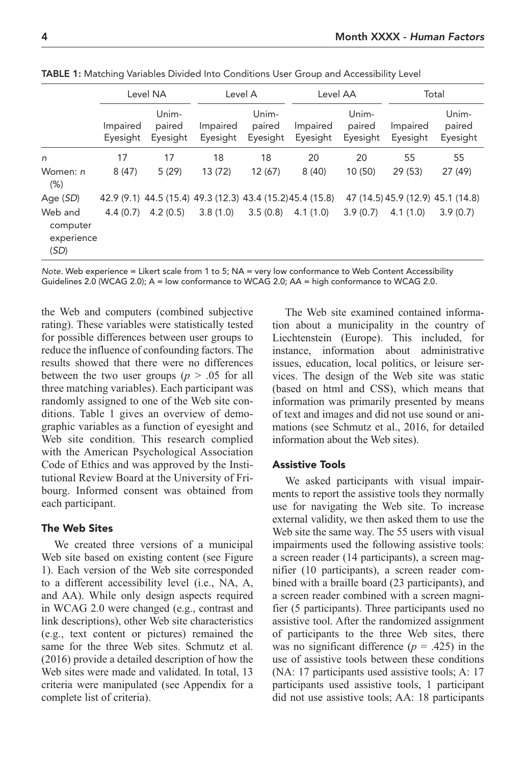|                                           | Level NA             |                                                            | Level A              |                             | Level AA             |                             | Total                             |                             |
|-------------------------------------------|----------------------|------------------------------------------------------------|----------------------|-----------------------------|----------------------|-----------------------------|-----------------------------------|-----------------------------|
|                                           | Impaired<br>Eyesight | Unim-<br>paired<br>Eyesight                                | Impaired<br>Eyesight | Unim-<br>paired<br>Eyesight | Impaired<br>Eyesight | Unim-<br>paired<br>Eyesight | Impaired<br>Eyesight              | Unim-<br>paired<br>Eyesight |
| n                                         | 17                   | 17                                                         | 18                   | 18                          | 20                   | 20                          | 55                                | 55                          |
| Women: n<br>(% )                          | 8(47)                | 5(29)                                                      | 13 (72)              | 12(67)                      | 8(40)                | 10(50)                      | 29(53)                            | 27 (49)                     |
| Age (SD)                                  |                      | 42.9 (9.1) 44.5 (15.4) 49.3 (12.3) 43.4 (15.2) 45.4 (15.8) |                      |                             |                      |                             | 47 (14.5) 45.9 (12.9) 45.1 (14.8) |                             |
| Web and<br>computer<br>experience<br>(SD) | 4.4(0.7)             | 4.2(0.5)                                                   | 3.8(1.0)             | 3.5(0.8)                    | 4.1(1.0)             | 3.9(0.7)                    | 4.1(1.0)                          | 3.9(0.7)                    |

TABLE 1: Matching Variables Divided Into Conditions User Group and Accessibility Level

Note. Web experience = Likert scale from 1 to 5; NA = very low conformance to Web Content Accessibility Guidelines 2.0 (WCAG 2.0); A = low conformance to WCAG 2.0; AA = high conformance to WCAG 2.0.

the Web and computers (combined subjective rating). These variables were statistically tested for possible differences between user groups to reduce the influence of confounding factors. The results showed that there were no differences between the two user groups ( $p > .05$  for all three matching variables). Each participant was randomly assigned to one of the Web site conditions. Table 1 gives an overview of demographic variables as a function of eyesight and Web site condition. This research complied with the American Psychological Association Code of Ethics and was approved by the Institutional Review Board at the University of Fribourg. Informed consent was obtained from each participant.

## The Web Sites

We created three versions of a municipal Web site based on existing content (see Figure 1). Each version of the Web site corresponded to a different accessibility level (i.e., NA, A, and AA). While only design aspects required in WCAG 2.0 were changed (e.g., contrast and link descriptions), other Web site characteristics (e.g., text content or pictures) remained the same for the three Web sites. Schmutz et al. (2016) provide a detailed description of how the Web sites were made and validated. In total, 13 criteria were manipulated (see Appendix for a complete list of criteria).

The Web site examined contained information about a municipality in the country of Liechtenstein (Europe). This included, for instance, information about administrative issues, education, local politics, or leisure services. The design of the Web site was static (based on html and CSS), which means that information was primarily presented by means of text and images and did not use sound or animations (see Schmutz et al., 2016, for detailed information about the Web sites).

## Assistive Tools

We asked participants with visual impairments to report the assistive tools they normally use for navigating the Web site. To increase external validity, we then asked them to use the Web site the same way. The 55 users with visual impairments used the following assistive tools: a screen reader (14 participants), a screen magnifier (10 participants), a screen reader combined with a braille board (23 participants), and a screen reader combined with a screen magnifier (5 participants). Three participants used no assistive tool. After the randomized assignment of participants to the three Web sites, there was no significant difference  $(p = .425)$  in the use of assistive tools between these conditions (NA: 17 participants used assistive tools; A: 17 participants used assistive tools, 1 participant did not use assistive tools; AA: 18 participants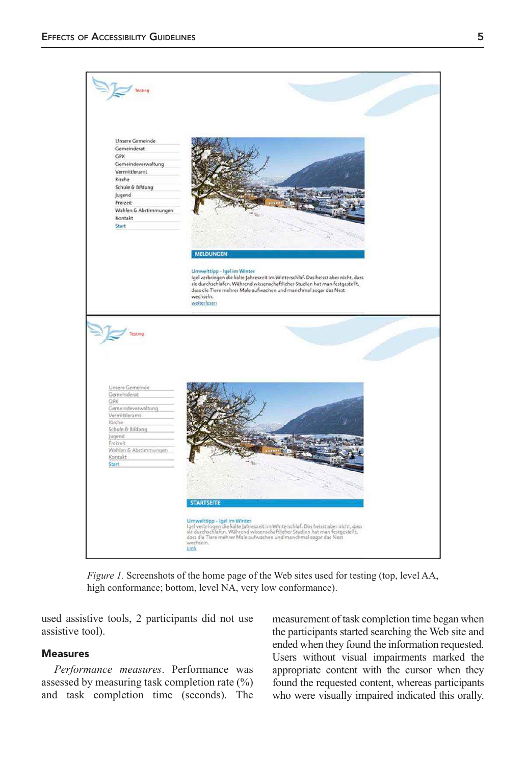

*Figure 1.* Screenshots of the home page of the Web sites used for testing (top, level AA, high conformance; bottom, level NA, very low conformance).

used assistive tools, 2 participants did not use assistive tool).

## Measures

*Performance measures*. Performance was assessed by measuring task completion rate (%) and task completion time (seconds). The measurement of task completion time began when the participants started searching the Web site and ended when they found the information requested. Users without visual impairments marked the appropriate content with the cursor when they found the requested content, whereas participants who were visually impaired indicated this orally.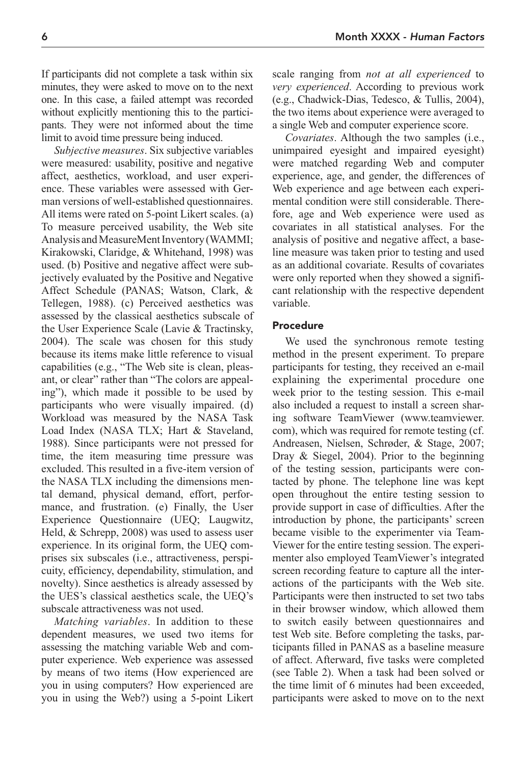If participants did not complete a task within six minutes, they were asked to move on to the next one. In this case, a failed attempt was recorded without explicitly mentioning this to the participants. They were not informed about the time limit to avoid time pressure being induced.

*Subjective measures*. Six subjective variables were measured: usability, positive and negative affect, aesthetics, workload, and user experience. These variables were assessed with German versions of well-established questionnaires. All items were rated on 5-point Likert scales. (a) To measure perceived usability, the Web site Analysis and MeasureMent Inventory (WAMMI; Kirakowski, Claridge, & Whitehand, 1998) was used. (b) Positive and negative affect were subjectively evaluated by the Positive and Negative Affect Schedule (PANAS; Watson, Clark, & Tellegen, 1988). (c) Perceived aesthetics was assessed by the classical aesthetics subscale of the User Experience Scale (Lavie & Tractinsky, 2004). The scale was chosen for this study because its items make little reference to visual capabilities (e.g., "The Web site is clean, pleasant, or clear" rather than "The colors are appealing"), which made it possible to be used by participants who were visually impaired. (d) Workload was measured by the NASA Task Load Index (NASA TLX; Hart & Staveland, 1988). Since participants were not pressed for time, the item measuring time pressure was excluded. This resulted in a five-item version of the NASA TLX including the dimensions mental demand, physical demand, effort, performance, and frustration. (e) Finally, the User Experience Questionnaire (UEQ; Laugwitz, Held, & Schrepp, 2008) was used to assess user experience. In its original form, the UEQ comprises six subscales (i.e., attractiveness, perspicuity, efficiency, dependability, stimulation, and novelty). Since aesthetics is already assessed by the UES's classical aesthetics scale, the UEQ's subscale attractiveness was not used.

*Matching variables*. In addition to these dependent measures, we used two items for assessing the matching variable Web and computer experience. Web experience was assessed by means of two items (How experienced are you in using computers? How experienced are you in using the Web?) using a 5-point Likert scale ranging from *not at all experienced* to *very experienced*. According to previous work (e.g., Chadwick-Dias, Tedesco, & Tullis, 2004), the two items about experience were averaged to a single Web and computer experience score.

*Covariates*. Although the two samples (i.e., unimpaired eyesight and impaired eyesight) were matched regarding Web and computer experience, age, and gender, the differences of Web experience and age between each experimental condition were still considerable. Therefore, age and Web experience were used as covariates in all statistical analyses. For the analysis of positive and negative affect, a baseline measure was taken prior to testing and used as an additional covariate. Results of covariates were only reported when they showed a significant relationship with the respective dependent variable.

## Procedure

We used the synchronous remote testing method in the present experiment. To prepare participants for testing, they received an e-mail explaining the experimental procedure one week prior to the testing session. This e-mail also included a request to install a screen sharing software TeamViewer (www.teamviewer. com), which was required for remote testing (cf. Andreasen, Nielsen, Schrøder, & Stage, 2007; Dray & Siegel, 2004). Prior to the beginning of the testing session, participants were contacted by phone. The telephone line was kept open throughout the entire testing session to provide support in case of difficulties. After the introduction by phone, the participants' screen became visible to the experimenter via Team-Viewer for the entire testing session. The experimenter also employed TeamViewer's integrated screen recording feature to capture all the interactions of the participants with the Web site. Participants were then instructed to set two tabs in their browser window, which allowed them to switch easily between questionnaires and test Web site. Before completing the tasks, participants filled in PANAS as a baseline measure of affect. Afterward, five tasks were completed (see Table 2). When a task had been solved or the time limit of 6 minutes had been exceeded, participants were asked to move on to the next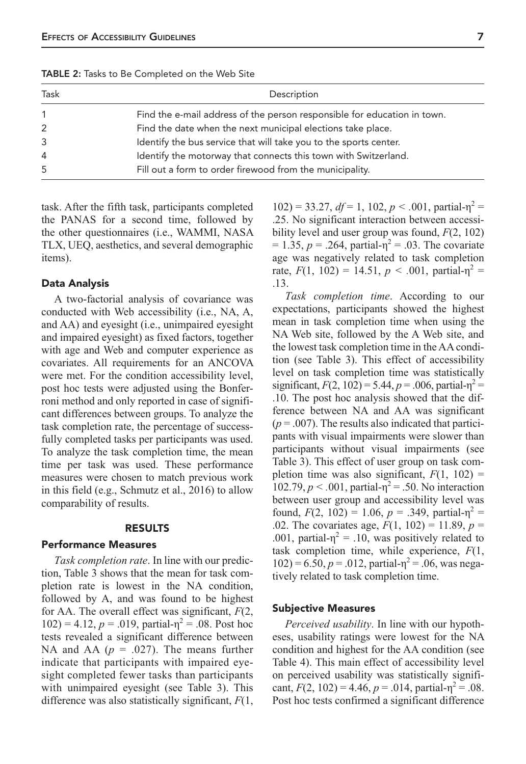| Task | Description                                                              |  |  |  |
|------|--------------------------------------------------------------------------|--|--|--|
|      | Find the e-mail address of the person responsible for education in town. |  |  |  |
| 2    | Find the date when the next municipal elections take place.              |  |  |  |
| 3    | Identify the bus service that will take you to the sports center.        |  |  |  |
| 4    | Identify the motorway that connects this town with Switzerland.          |  |  |  |
| 5    | Fill out a form to order firewood from the municipality.                 |  |  |  |

TABLE 2: Tasks to Be Completed on the Web Site

task. After the fifth task, participants completed the PANAS for a second time, followed by the other questionnaires (i.e., WAMMI, NASA TLX, UEQ, aesthetics, and several demographic items).

#### Data Analysis

A two-factorial analysis of covariance was conducted with Web accessibility (i.e., NA, A, and AA) and eyesight (i.e., unimpaired eyesight and impaired eyesight) as fixed factors, together with age and Web and computer experience as covariates. All requirements for an ANCOVA were met. For the condition accessibility level, post hoc tests were adjusted using the Bonferroni method and only reported in case of significant differences between groups. To analyze the task completion rate, the percentage of successfully completed tasks per participants was used. To analyze the task completion time, the mean time per task was used. These performance measures were chosen to match previous work in this field (e.g., Schmutz et al., 2016) to allow comparability of results.

#### RESULTS

#### Performance Measures

*Task completion rate*. In line with our prediction, Table 3 shows that the mean for task completion rate is lowest in the NA condition, followed by A, and was found to be highest for AA. The overall effect was significant, *F*(2,  $102$ ) = 4.12, *p* = .019, partial- $\eta^2$  = .08. Post hoc tests revealed a significant difference between NA and AA  $(p = .027)$ . The means further indicate that participants with impaired eyesight completed fewer tasks than participants with unimpaired eyesight (see Table 3). This difference was also statistically significant, *F*(1,

 $102$ ) = 33.27,  $df = 1$ , 102,  $p < .001$ , partial- $\eta^2 =$ .25. No significant interaction between accessibility level and user group was found, *F*(2, 102)  $= 1.35, p = .264$ , partial- $\eta^2 = .03$ . The covariate age was negatively related to task completion rate,  $F(1, 102) = 14.51, p < .001$ , partial-η<sup>2</sup> = .13.

*Task completion time*. According to our expectations, participants showed the highest mean in task completion time when using the NA Web site, followed by the A Web site, and the lowest task completion time in the AA condition (see Table 3). This effect of accessibility level on task completion time was statistically significant,  $F(2, 102) = 5.44$ ,  $p = .006$ , partial- $\eta^2 =$ .10. The post hoc analysis showed that the difference between NA and AA was significant  $(p = .007)$ . The results also indicated that participants with visual impairments were slower than participants without visual impairments (see Table 3). This effect of user group on task completion time was also significant,  $F(1, 102) =$ 102.79,  $p < .001$ , partial-η<sup>2</sup> = .50. No interaction between user group and accessibility level was found,  $F(2, 102) = 1.06$ ,  $p = .349$ , partial-η<sup>2</sup> = .02. The covariates age,  $F(1, 102) = 11.89$ ,  $p =$ .001, partial- $\eta^2$  = .10, was positively related to task completion time, while experience, *F*(1,  $102$ ) = 6.50,  $p = 0.012$ , partial- $\eta^2 = 0.06$ , was negatively related to task completion time.

#### Subjective Measures

*Perceived usability*. In line with our hypotheses, usability ratings were lowest for the NA condition and highest for the AA condition (see Table 4). This main effect of accessibility level on perceived usability was statistically significant,  $F(2, 102) = 4.46$ ,  $p = .014$ , partial- $\eta^2 = .08$ . Post hoc tests confirmed a significant difference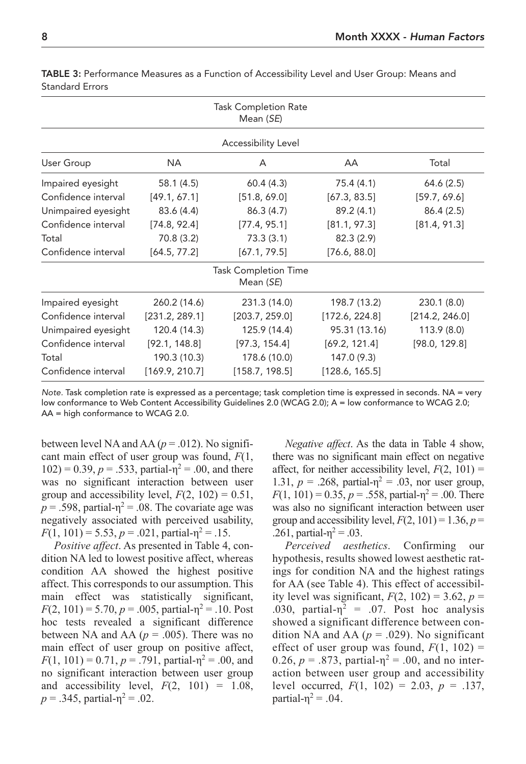|                     |                | <b>Task Completion Rate</b><br>Mean (SE) |                |                |
|---------------------|----------------|------------------------------------------|----------------|----------------|
|                     |                | Accessibility Level                      |                |                |
| User Group          | NA.            | A                                        | AA             | Total          |
| Impaired eyesight   | 58.1(4.5)      | 60.4(4.3)                                | 75.4 (4.1)     | 64.6(2.5)      |
| Confidence interval | [49.1, 67.1]   | [51.8, 69.0]                             | [67.3, 83.5]   | [59.7, 69.6]   |
| Unimpaired eyesight | 83.6 (4.4)     | 86.3(4.7)                                | 89.2 (4.1)     | 86.4(2.5)      |
| Confidence interval | [74.8, 92.4]   | [77.4, 95.1]                             | [81.1, 97.3]   | [81.4, 91.3]   |
| Total               | 70.8 (3.2)     | 73.3(3.1)                                | 82.3(2.9)      |                |
| Confidence interval | [64.5, 77.2]   | [67.1, 79.5]                             | [76.6, 88.0]   |                |
|                     |                | <b>Task Completion Time</b><br>Mean (SE) |                |                |
| Impaired eyesight   | 260.2 (14.6)   | 231.3 (14.0)                             | 198.7 (13.2)   | 230.1 (8.0)    |
| Confidence interval | [231.2, 289.1] | [203.7, 259.0]                           | [172.6, 224.8] | [214.2, 246.0] |
| Unimpaired eyesight | 120.4 (14.3)   | 125.9 (14.4)                             | 95.31 (13.16)  | 113.9 (8.0)    |
| Confidence interval | [92.1, 148.8]  | [97.3, 154.4]                            | [69.2, 121.4]  | [98.0, 129.8]  |
| Total               | 190.3 (10.3)   | 178.6 (10.0)                             | 147.0 (9.3)    |                |
| Confidence interval | [169.9, 210.7] | [158.7, 198.5]                           | [128.6, 165.5] |                |

TABLE 3: Performance Measures as a Function of Accessibility Level and User Group: Means and Standard Errors

Note. Task completion rate is expressed as a percentage; task completion time is expressed in seconds. NA = very low conformance to Web Content Accessibility Guidelines 2.0 (WCAG 2.0); A = low conformance to WCAG 2.0; AA = high conformance to WCAG 2.0.

between level NA and AA ( $p = .012$ ). No significant main effect of user group was found, *F*(1,  $102$ ) = 0.39,  $p = .533$ , partial- $\eta^2 = .00$ , and there was no significant interaction between user group and accessibility level,  $F(2, 102) = 0.51$ ,  $p = .598$ , partial- $\eta^2 = .08$ . The covariate age was negatively associated with perceived usability,  $F(1, 101) = 5.53, p = .021,$  partial- $p^2 = .15$ .

*Positive affect*. As presented in Table 4, condition NA led to lowest positive affect, whereas condition AA showed the highest positive affect. This corresponds to our assumption. This main effect was statistically significant,  $F(2, 101) = 5.70, p = .005$ , partial- $\eta^2 = .10$ . Post hoc tests revealed a significant difference between NA and AA ( $p = .005$ ). There was no main effect of user group on positive affect,  $F(1, 101) = 0.71, p = .791$ , partial- $p^2 = .00$ , and no significant interaction between user group and accessibility level,  $F(2, 101) = 1.08$ ,  $p = .345$ , partial- $\eta^2 = .02$ .

*Negative affect*. As the data in Table 4 show, there was no significant main effect on negative affect, for neither accessibility level,  $F(2, 101) =$ 1.31,  $p = 0.268$ , partial- $\eta^2 = 0.03$ , nor user group,  $F(1, 101) = 0.35, p = .558$ , partial- $\eta^2 = .00$ . There was also no significant interaction between user group and accessibility level,  $F(2, 101) = 1.36$ ,  $p =$ .261, partial- $η<sup>2</sup> = .03$ .

*Perceived aesthetics*. Confirming our hypothesis, results showed lowest aesthetic ratings for condition NA and the highest ratings for AA (see Table 4). This effect of accessibility level was significant,  $F(2, 102) = 3.62$ ,  $p =$ .030, partial- $\eta^2$  = .07. Post hoc analysis showed a significant difference between condition NA and AA  $(p = .029)$ . No significant effect of user group was found,  $F(1, 102)$  = 0.26,  $p = .873$ , partial- $\eta^2 = .00$ , and no interaction between user group and accessibility level occurred,  $F(1, 102) = 2.03$ ,  $p = .137$ , partial- $\eta^2$  = .04.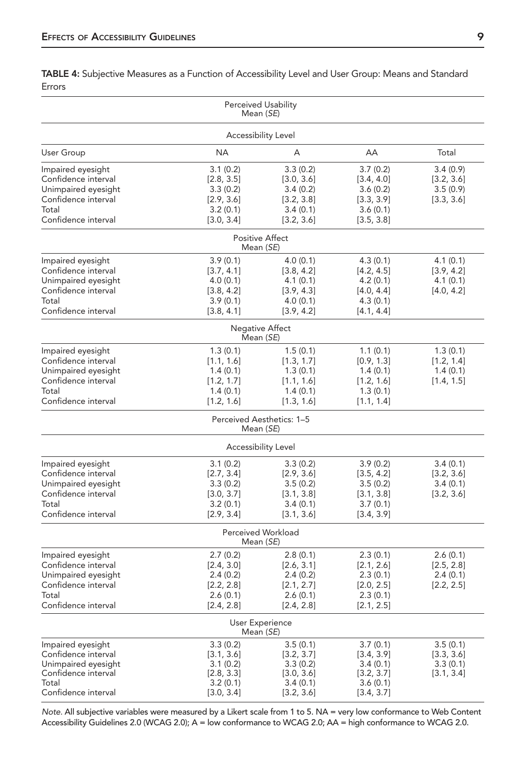TABLE 4: Subjective Measures as a Function of Accessibility Level and User Group: Means and Standard Errors

|                                                                                                                        | Perceived Usability<br>Mean (SE)                                           |                                                                            |                                                                             |                                                  |  |  |  |
|------------------------------------------------------------------------------------------------------------------------|----------------------------------------------------------------------------|----------------------------------------------------------------------------|-----------------------------------------------------------------------------|--------------------------------------------------|--|--|--|
| Accessibility Level                                                                                                    |                                                                            |                                                                            |                                                                             |                                                  |  |  |  |
| User Group                                                                                                             | <b>NA</b>                                                                  | А                                                                          | AA                                                                          | Total                                            |  |  |  |
| Impaired eyesight<br>Confidence interval<br>Unimpaired eyesight<br>Confidence interval<br>Total<br>Confidence interval | 3.1(0.2)<br>[2.8, 3.5]<br>3.3(0.2)<br>[2.9, 3.6]<br>3.2(0.1)<br>[3.0, 3.4] | 3.3(0.2)<br>[3.0, 3.6]<br>3.4(0.2)<br>[3.2, 3.8]<br>3.4(0.1)<br>[3.2, 3.6] | 3.7(0.2)<br>[3.4, 4.0]<br>3.6(0.2)<br>[3.3, 3.9]<br>3.6(0.1)<br>[3.5, 3.8]  | 3.4(0.9)<br>[3.2, 3.6]<br>3.5(0.9)<br>[3.3, 3.6] |  |  |  |
|                                                                                                                        | <b>Positive Affect</b><br>Mean (SE)                                        |                                                                            |                                                                             |                                                  |  |  |  |
| Impaired eyesight<br>Confidence interval<br>Unimpaired eyesight<br>Confidence interval<br>Total<br>Confidence interval | 3.9(0.1)<br>[3.7, 4.1]<br>4.0(0.1)<br>[3.8, 4.2]<br>3.9(0.1)<br>[3.8, 4.1] | 4.0(0.1)<br>[3.8, 4.2]<br>4.1(0.1)<br>[3.9, 4.3]<br>4.0(0.1)<br>[3.9, 4.2] | 4.3(0.1)<br>[4.2, 4.5]<br>4.2(0.1)<br>[4.0, 4.4]<br>4.3(0.1)<br>[4.1, 4.4]  | 4.1(0.1)<br>[3.9, 4.2]<br>4.1(0.1)<br>[4.0, 4.2] |  |  |  |
|                                                                                                                        | Negative Affect<br>Mean (SE)                                               |                                                                            |                                                                             |                                                  |  |  |  |
| Impaired eyesight<br>Confidence interval<br>Unimpaired eyesight<br>Confidence interval<br>Total<br>Confidence interval | 1.3(0.1)<br>[1.1, 1.6]<br>1.4(0.1)<br>[1.2, 1.7]<br>1.4(0.1)<br>[1.2, 1.6] | 1.5(0.1)<br>[1.3, 1.7]<br>1.3(0.1)<br>[1.1, 1.6]<br>1.4(0.1)<br>[1.3, 1.6] | 1.1(0.1)<br>[0.9, 1.3]<br>1.4(0.1)<br>[1.2, 1.6]<br>1.3(0.1)<br>[1.1, 1.4]  | 1.3(0.1)<br>[1.2, 1.4]<br>1.4(0.1)<br>[1.4, 1.5] |  |  |  |
|                                                                                                                        | Perceived Aesthetics: 1-5<br>Mean (SE)                                     |                                                                            |                                                                             |                                                  |  |  |  |
|                                                                                                                        | Accessibility Level                                                        |                                                                            |                                                                             |                                                  |  |  |  |
| Impaired eyesight<br>Confidence interval<br>Unimpaired eyesight<br>Confidence interval<br>Total<br>Confidence interval | 3.1(0.2)<br>[2.7, 3.4]<br>3.3(0.2)<br>[3.0, 3.7]<br>3.2(0.1)<br>[2.9, 3.4] | 3.3(0.2)<br>[2.9, 3.6]<br>3.5(0.2)<br>[3.1, 3.8]<br>3.4(0.1)<br>[3.1, 3.6] | 3.9(0.2)<br>[3.5, 4.2]<br>3.5(0.2)<br>[3.1, 3.8]<br>3.7(0.1)<br>[3.4, 3.9]  | 3.4(0.1)<br>[3.2, 3.6]<br>3.4(0.1)<br>[3.2, 3.6] |  |  |  |
|                                                                                                                        | Perceived Workload<br>Mean (SE)                                            |                                                                            |                                                                             |                                                  |  |  |  |
| Impaired eyesight<br>Confidence interval<br>Unimpaired eyesight<br>Confidence interval<br>Total<br>Confidence interval | 2.7(0.2)<br>[2.4, 3.0]<br>2.4(0.2)<br>[2.2, 2.8]<br>2.6(0.1)<br>[2.4, 2.8] | 2.8(0.1)<br>[2.6, 3.1]<br>2.4(0.2)<br>[2.1, 2.7]<br>2.6(0.1)<br>[2.4, 2.8] | 2.3(0.1)<br>[2.1, 2.6]<br>2.3(0.1)<br>[2.0, 2.5]<br>2.3(0.1)<br>[2.1, 2.5]  | 2.6(0.1)<br>[2.5, 2.8]<br>2.4(0.1)<br>[2.2, 2.5] |  |  |  |
|                                                                                                                        | User Experience<br>Mean (SE)                                               |                                                                            |                                                                             |                                                  |  |  |  |
| Impaired eyesight<br>Confidence interval<br>Unimpaired eyesight<br>Confidence interval<br>Total<br>Confidence interval | 3.3(0.2)<br>[3.1, 3.6]<br>3.1(0.2)<br>[2.8, 3.3]<br>3.2(0.1)<br>[3.0, 3.4] | 3.5(0.1)<br>[3.2, 3.7]<br>3.3(0.2)<br>[3.0, 3.6]<br>3.4(0.1)<br>[3.2, 3.6] | 3.7(0.1)<br>[3.4, 3.9]<br>3.4 (0.1)<br>[3.2, 3.7]<br>3.6(0.1)<br>[3.4, 3.7] | 3.5(0.1)<br>[3.3, 3.6]<br>3.3(0.1)<br>[3.1, 3.4] |  |  |  |

Note. All subjective variables were measured by a Likert scale from 1 to 5. NA = very low conformance to Web Content Accessibility Guidelines 2.0 (WCAG 2.0); A = low conformance to WCAG 2.0; AA = high conformance to WCAG 2.0.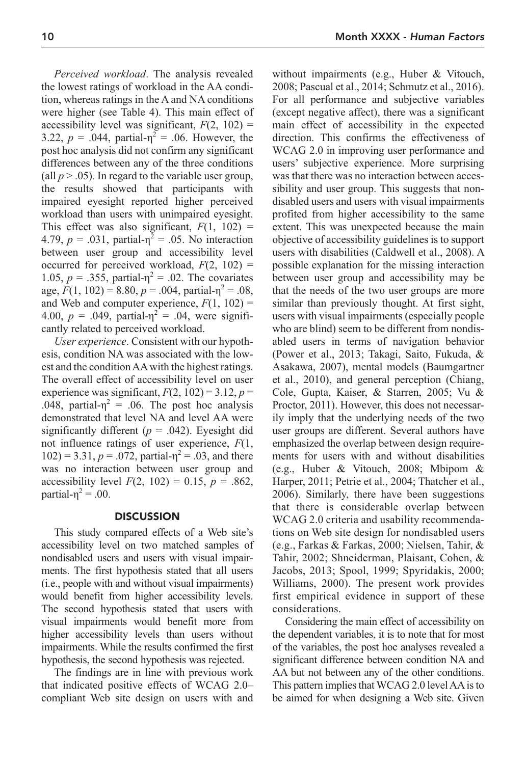*Perceived workload*. The analysis revealed the lowest ratings of workload in the AA condition, whereas ratings in the A and NA conditions were higher (see Table 4). This main effect of accessibility level was significant,  $F(2, 102) =$ 3.22,  $p = .044$ , partial- $\eta^2 = .06$ . However, the post hoc analysis did not confirm any significant differences between any of the three conditions (all  $p > .05$ ). In regard to the variable user group, the results showed that participants with impaired eyesight reported higher perceived workload than users with unimpaired eyesight. This effect was also significant,  $F(1, 102) =$ 4.79,  $p = .031$ , partial- $\eta^2 = .05$ . No interaction between user group and accessibility level occurred for perceived workload,  $F(2, 102)$  = 1.05, *p* = .355, partial- $η<sup>2</sup> = .02$ . The covariates age,  $F(1, 102) = 8.80, p = .004$ , partial- $\eta^2 = .08$ , and Web and computer experience,  $F(1, 102)$  = 4.00,  $p = .049$ , partial- $\eta^2 = .04$ , were significantly related to perceived workload.

*User experience*. Consistent with our hypothesis, condition NA was associated with the lowest and the condition AA with the highest ratings. The overall effect of accessibility level on user experience was significant,  $F(2, 102) = 3.12$ ,  $p =$ .048, partial- $\eta^2$  = .06. The post hoc analysis demonstrated that level NA and level AA were significantly different  $(p = .042)$ . Eyesight did not influence ratings of user experience, *F*(1,  $102$ ) = 3.31,  $p = .072$ , partial- $\eta^2 = .03$ , and there was no interaction between user group and accessibility level  $F(2, 102) = 0.15$ ,  $p = .862$ , partial-η<sup>2</sup> = .00.

## **DISCUSSION**

This study compared effects of a Web site's accessibility level on two matched samples of nondisabled users and users with visual impairments. The first hypothesis stated that all users (i.e., people with and without visual impairments) would benefit from higher accessibility levels. The second hypothesis stated that users with visual impairments would benefit more from higher accessibility levels than users without impairments. While the results confirmed the first hypothesis, the second hypothesis was rejected.

The findings are in line with previous work that indicated positive effects of WCAG 2.0– compliant Web site design on users with and

without impairments (e.g., Huber & Vitouch, 2008; Pascual et al., 2014; Schmutz et al., 2016). For all performance and subjective variables (except negative affect), there was a significant main effect of accessibility in the expected direction. This confirms the effectiveness of WCAG 2.0 in improving user performance and users' subjective experience. More surprising was that there was no interaction between accessibility and user group. This suggests that nondisabled users and users with visual impairments profited from higher accessibility to the same extent. This was unexpected because the main objective of accessibility guidelines is to support users with disabilities (Caldwell et al., 2008). A possible explanation for the missing interaction between user group and accessibility may be that the needs of the two user groups are more similar than previously thought. At first sight, users with visual impairments (especially people who are blind) seem to be different from nondisabled users in terms of navigation behavior (Power et al., 2013; Takagi, Saito, Fukuda, & Asakawa, 2007), mental models (Baumgartner et al., 2010), and general perception (Chiang, Cole, Gupta, Kaiser, & Starren, 2005; Vu & Proctor, 2011). However, this does not necessarily imply that the underlying needs of the two user groups are different. Several authors have emphasized the overlap between design requirements for users with and without disabilities (e.g., Huber & Vitouch, 2008; Mbipom & Harper, 2011; Petrie et al., 2004; Thatcher et al., 2006). Similarly, there have been suggestions that there is considerable overlap between WCAG 2.0 criteria and usability recommendations on Web site design for nondisabled users (e.g., Farkas & Farkas, 2000; Nielsen, Tahir, & Tahir, 2002; Shneiderman, Plaisant, Cohen, & Jacobs, 2013; Spool, 1999; Spyridakis, 2000; Williams, 2000). The present work provides first empirical evidence in support of these considerations.

Considering the main effect of accessibility on the dependent variables, it is to note that for most of the variables, the post hoc analyses revealed a significant difference between condition NA and AA but not between any of the other conditions. This pattern implies that WCAG 2.0 level AA is to be aimed for when designing a Web site. Given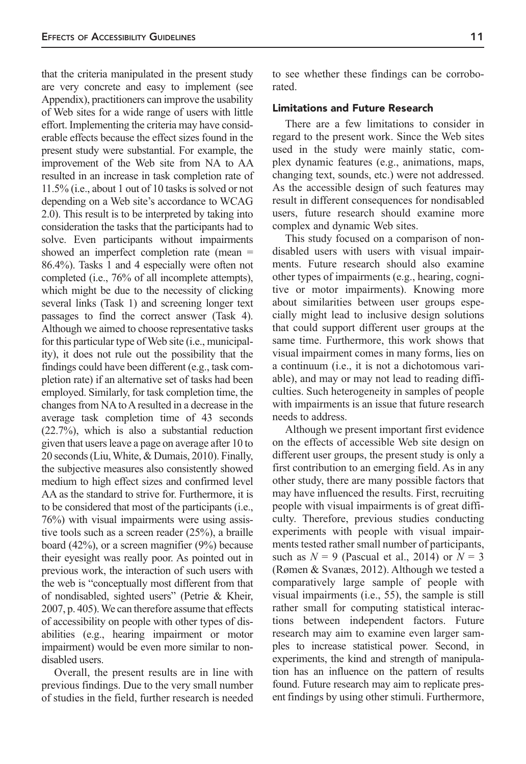that the criteria manipulated in the present study are very concrete and easy to implement (see Appendix), practitioners can improve the usability of Web sites for a wide range of users with little effort. Implementing the criteria may have considerable effects because the effect sizes found in the present study were substantial. For example, the improvement of the Web site from NA to AA resulted in an increase in task completion rate of 11.5% (i.e., about 1 out of 10 tasks is solved or not depending on a Web site's accordance to WCAG 2.0). This result is to be interpreted by taking into consideration the tasks that the participants had to solve. Even participants without impairments showed an imperfect completion rate (mean = 86.4%). Tasks 1 and 4 especially were often not completed (i.e., 76% of all incomplete attempts), which might be due to the necessity of clicking several links (Task 1) and screening longer text passages to find the correct answer (Task 4). Although we aimed to choose representative tasks for this particular type of Web site (i.e., municipality), it does not rule out the possibility that the findings could have been different (e.g., task completion rate) if an alternative set of tasks had been employed. Similarly, for task completion time, the changes from NA to A resulted in a decrease in the average task completion time of 43 seconds (22.7%), which is also a substantial reduction given that users leave a page on average after 10 to 20 seconds (Liu, White, & Dumais, 2010). Finally, the subjective measures also consistently showed medium to high effect sizes and confirmed level AA as the standard to strive for. Furthermore, it is to be considered that most of the participants (i.e., 76%) with visual impairments were using assistive tools such as a screen reader (25%), a braille board (42%), or a screen magnifier (9%) because their eyesight was really poor. As pointed out in previous work, the interaction of such users with the web is "conceptually most different from that of nondisabled, sighted users" (Petrie & Kheir, 2007, p. 405). We can therefore assume that effects of accessibility on people with other types of disabilities (e.g., hearing impairment or motor impairment) would be even more similar to nondisabled users.

Overall, the present results are in line with previous findings. Due to the very small number of studies in the field, further research is needed to see whether these findings can be corroborated.

#### Limitations and Future Research

There are a few limitations to consider in regard to the present work. Since the Web sites used in the study were mainly static, complex dynamic features (e.g., animations, maps, changing text, sounds, etc.) were not addressed. As the accessible design of such features may result in different consequences for nondisabled users, future research should examine more complex and dynamic Web sites.

This study focused on a comparison of nondisabled users with users with visual impairments. Future research should also examine other types of impairments (e.g., hearing, cognitive or motor impairments). Knowing more about similarities between user groups especially might lead to inclusive design solutions that could support different user groups at the same time. Furthermore, this work shows that visual impairment comes in many forms, lies on a continuum (i.e., it is not a dichotomous variable), and may or may not lead to reading difficulties. Such heterogeneity in samples of people with impairments is an issue that future research needs to address.

Although we present important first evidence on the effects of accessible Web site design on different user groups, the present study is only a first contribution to an emerging field. As in any other study, there are many possible factors that may have influenced the results. First, recruiting people with visual impairments is of great difficulty. Therefore, previous studies conducting experiments with people with visual impairments tested rather small number of participants, such as  $N = 9$  (Pascual et al., 2014) or  $N = 3$ (Rømen & Svanæs, 2012). Although we tested a comparatively large sample of people with visual impairments (i.e., 55), the sample is still rather small for computing statistical interactions between independent factors. Future research may aim to examine even larger samples to increase statistical power. Second, in experiments, the kind and strength of manipulation has an influence on the pattern of results found. Future research may aim to replicate present findings by using other stimuli. Furthermore,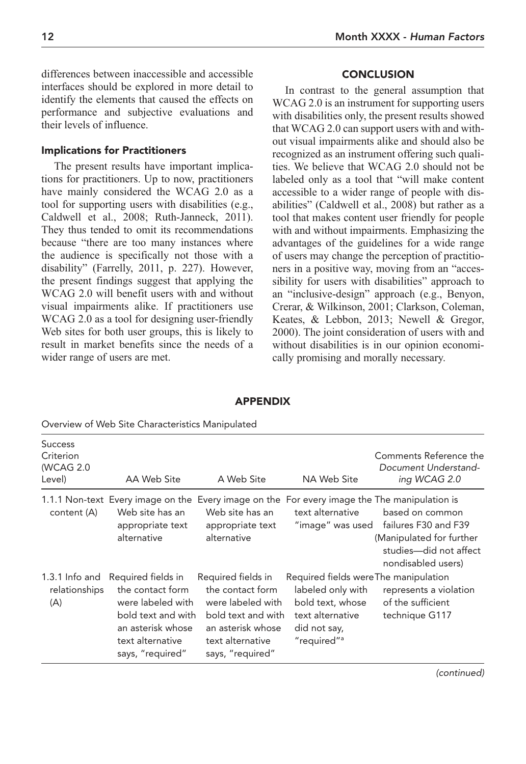differences between inaccessible and accessible interfaces should be explored in more detail to identify the elements that caused the effects on performance and subjective evaluations and their levels of influence.

## Implications for Practitioners

The present results have important implications for practitioners. Up to now, practitioners have mainly considered the WCAG 2.0 as a tool for supporting users with disabilities (e.g., Caldwell et al., 2008; Ruth-Janneck, 2011). They thus tended to omit its recommendations because "there are too many instances where the audience is specifically not those with a disability" (Farrelly, 2011, p. 227). However, the present findings suggest that applying the WCAG 2.0 will benefit users with and without visual impairments alike. If practitioners use WCAG 2.0 as a tool for designing user-friendly Web sites for both user groups, this is likely to result in market benefits since the needs of a wider range of users are met.

## **CONCLUSION**

In contrast to the general assumption that WCAG 2.0 is an instrument for supporting users with disabilities only, the present results showed that WCAG 2.0 can support users with and without visual impairments alike and should also be recognized as an instrument offering such qualities. We believe that WCAG 2.0 should not be labeled only as a tool that "will make content accessible to a wider range of people with disabilities" (Caldwell et al., 2008) but rather as a tool that makes content user friendly for people with and without impairments. Emphasizing the advantages of the guidelines for a wide range of users may change the perception of practitioners in a positive way, moving from an "accessibility for users with disabilities" approach to an "inclusive-design" approach (e.g., Benyon, Crerar, & Wilkinson, 2001; Clarkson, Coleman, Keates, & Lebbon, 2013; Newell & Gregor, 2000). The joint consideration of users with and without disabilities is in our opinion economically promising and morally necessary.

| <b>Success</b><br>Criterion<br>(WCAG 2.0<br>Level) | AA Web Site                                                                                                                                                   | A Web Site                                                                                                                                     | NA Web Site                                                                                                                                   | Comments Reference the<br>Document Understand-<br>ing WCAG 2.0                                                                                                                                     |
|----------------------------------------------------|---------------------------------------------------------------------------------------------------------------------------------------------------------------|------------------------------------------------------------------------------------------------------------------------------------------------|-----------------------------------------------------------------------------------------------------------------------------------------------|----------------------------------------------------------------------------------------------------------------------------------------------------------------------------------------------------|
| content (A)                                        | 1.1.1 Non-text Every image on the<br>Web site has an<br>appropriate text<br>alternative                                                                       | Web site has an<br>appropriate text<br>alternative                                                                                             | text alternative                                                                                                                              | Every image on the For every image the The manipulation is<br>based on common<br>"image" was used failures F30 and F39<br>(Manipulated for further<br>studies—did not affect<br>nondisabled users) |
| relationships<br>(A)                               | 1.3.1 Info and Required fields in<br>the contact form<br>were labeled with<br>bold text and with<br>an asterisk whose<br>text alternative<br>says, "required" | Required fields in<br>the contact form<br>were labeled with<br>bold text and with<br>an asterisk whose<br>text alternative<br>says, "required" | Required fields were The manipulation<br>labeled only with<br>bold text, whose<br>text alternative<br>did not say,<br>"required" <sup>a</sup> | represents a violation<br>of the sufficient<br>technique G117                                                                                                                                      |

APPENDIX

Overview of Web Site Characteristics Manipulated

(continued)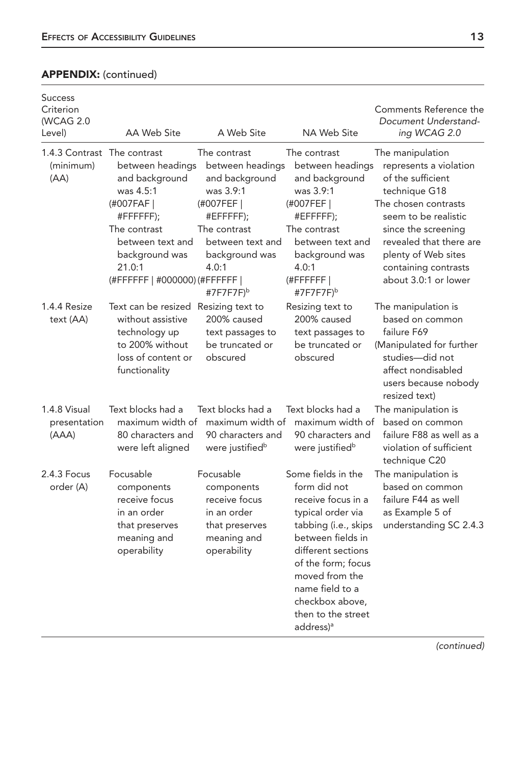## APPENDIX: (continued)

| <b>Success</b><br>Criterion<br>(WCAG 2.0<br>Level) | AA Web Site                                                                                                                                                                | A Web Site                                                                                                                                                                         | NA Web Site                                                                                                                                                                                                                                                                   | Comments Reference the<br>Document Understand-<br>ing WCAG 2.0                                                                                                                                                                                            |
|----------------------------------------------------|----------------------------------------------------------------------------------------------------------------------------------------------------------------------------|------------------------------------------------------------------------------------------------------------------------------------------------------------------------------------|-------------------------------------------------------------------------------------------------------------------------------------------------------------------------------------------------------------------------------------------------------------------------------|-----------------------------------------------------------------------------------------------------------------------------------------------------------------------------------------------------------------------------------------------------------|
| 1.4.3 Contrast The contrast<br>(minimum)<br>(AA)   | between headings<br>and background<br>was 4.5:1<br>(#007FAF)<br>#FFFFFFF);<br>The contrast<br>between text and<br>background was<br>21.0:1<br>(#FFFFFF   #000000) (#FFFFFF | The contrast<br>between headings<br>and background<br>was 3.9:1<br>(#007FEF  <br>#EFFFFF);<br>The contrast<br>between text and<br>background was<br>4.0:1<br>#7F7F7F) <sup>b</sup> | The contrast<br>between headings<br>and background<br>was 3.9:1<br>(#007FEF)<br>#EFFFFFF);<br>The contrast<br>between text and<br>background was<br>4.0:1<br>$H$ FFFFFFF<br>#7F7F7F) <sup>b</sup>                                                                             | The manipulation<br>represents a violation<br>of the sufficient<br>technique G18<br>The chosen contrasts<br>seem to be realistic<br>since the screening<br>revealed that there are<br>plenty of Web sites<br>containing contrasts<br>about 3.0:1 or lower |
| 1.4.4 Resize<br>text (AA)                          | Text can be resized Resizing text to<br>without assistive<br>technology up<br>to 200% without<br>loss of content or<br>functionality                                       | 200% caused<br>text passages to<br>be truncated or<br>obscured                                                                                                                     | Resizing text to<br>200% caused<br>text passages to<br>be truncated or<br>obscured                                                                                                                                                                                            | The manipulation is<br>based on common<br>failure F69<br>(Manipulated for further<br>studies-did not<br>affect nondisabled<br>users because nobody<br>resized text)                                                                                       |
| 1.4.8 Visual<br>presentation<br>(AAA)              | Text blocks had a<br>maximum width of<br>80 characters and<br>were left aligned                                                                                            | Text blocks had a<br>maximum width of<br>90 characters and<br>were justified <sup>b</sup>                                                                                          | Text blocks had a<br>maximum width of<br>90 characters and<br>were justified <sup>b</sup>                                                                                                                                                                                     | The manipulation is<br>based on common<br>failure F88 as well as a<br>violation of sufficient<br>technique C20                                                                                                                                            |
| $2.4.3$ Focus<br>order (A)                         | Focusable<br>components<br>receive focus<br>in an order<br>that preserves<br>meaning and<br>operability                                                                    | Focusable<br>components<br>receive focus<br>in an order<br>that preserves<br>meaning and<br>operability                                                                            | Some fields in the<br>form did not<br>receive focus in a<br>typical order via<br>tabbing (i.e., skips<br>between fields in<br>different sections<br>of the form; focus<br>moved from the<br>name field to a<br>checkbox above,<br>then to the street<br>address) <sup>a</sup> | The manipulation is<br>based on common<br>failure F44 as well<br>as Example 5 of<br>understanding SC 2.4.3                                                                                                                                                |

(continued)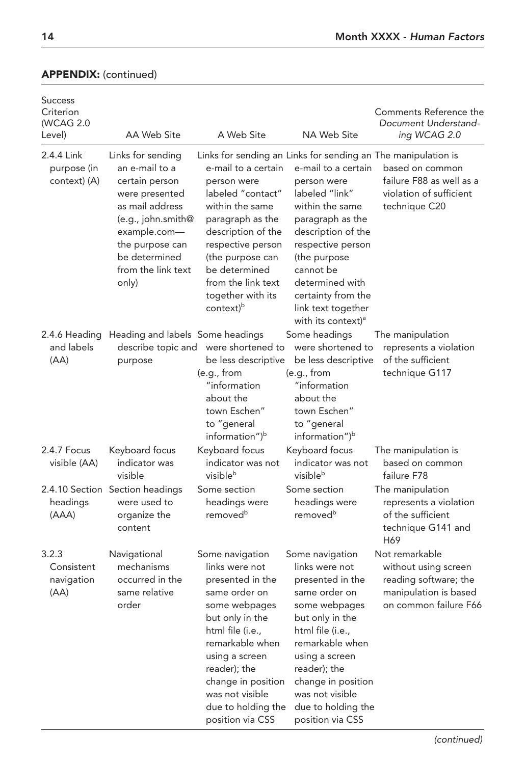| <b>Success</b><br>Criterion<br>(WCAG 2.0<br>Level) | AA Web Site                                                                                                                                                                                         | A Web Site                                                                                                                                                                                                                                                                                                          | NA Web Site                                                                                                                                                                                                                                                            | Comments Reference the<br>Document Understand-<br>ing WCAG 2.0                                                    |
|----------------------------------------------------|-----------------------------------------------------------------------------------------------------------------------------------------------------------------------------------------------------|---------------------------------------------------------------------------------------------------------------------------------------------------------------------------------------------------------------------------------------------------------------------------------------------------------------------|------------------------------------------------------------------------------------------------------------------------------------------------------------------------------------------------------------------------------------------------------------------------|-------------------------------------------------------------------------------------------------------------------|
| 2.4.4 Link<br>purpose (in<br>context) (A)          | Links for sending<br>an e-mail to a<br>certain person<br>were presented<br>as mail address<br>(e.g., john.smith@<br>example.com-<br>the purpose can<br>be determined<br>from the link text<br>only) | Links for sending an Links for sending an The manipulation is<br>e-mail to a certain<br>person were<br>labeled "contact"<br>within the same<br>paragraph as the<br>description of the<br>respective person<br>(the purpose can<br>be determined<br>from the link text<br>together with its<br>context) <sup>b</sup> | e-mail to a certain<br>person were<br>labeled "link"<br>within the same<br>paragraph as the<br>description of the<br>respective person<br>(the purpose<br>cannot be<br>determined with<br>certainty from the<br>link text together<br>with its context) <sup>a</sup>   | based on common<br>failure F88 as well as a<br>violation of sufficient<br>technique C20                           |
| 2.4.6 Heading<br>and labels<br>(AA)                | Heading and labels Some headings<br>purpose                                                                                                                                                         | describe topic and were shortened to<br>be less descriptive<br>(e.g., from<br>"information<br>about the<br>town Eschen"<br>to "general<br>information") <sup>b</sup>                                                                                                                                                | Some headings<br>were shortened to<br>be less descriptive<br>(e.g., from<br>"information<br>about the<br>town Eschen"<br>to "general<br>information") <sup>b</sup>                                                                                                     | The manipulation<br>represents a violation<br>of the sufficient<br>technique G117                                 |
| 2.4.7 Focus<br>visible (AA)                        | Keyboard focus<br>indicator was<br>visible                                                                                                                                                          | Keyboard focus<br>indicator was not<br>visibleb                                                                                                                                                                                                                                                                     | Keyboard focus<br>indicator was not<br>visible <sup>b</sup>                                                                                                                                                                                                            | The manipulation is<br>based on common<br>failure F78                                                             |
| headings<br>(AAA)                                  | 2.4.10 Section Section headings<br>were used to<br>organize the<br>content                                                                                                                          | Some section<br>headings were<br>removed <sup>b</sup>                                                                                                                                                                                                                                                               | Some section<br>headings were<br>removed <sup>b</sup>                                                                                                                                                                                                                  | The manipulation<br>represents a violation<br>of the sufficient<br>technique G141 and<br>H69                      |
| 3.2.3<br>Consistent<br>navigation<br>(AA)          | Navigational<br>mechanisms<br>occurred in the<br>same relative<br>order                                                                                                                             | Some navigation<br>links were not<br>presented in the<br>same order on<br>some webpages<br>but only in the<br>html file (i.e.,<br>remarkable when<br>using a screen<br>reader); the<br>change in position<br>was not visible<br>due to holding the<br>position via CSS                                              | Some navigation<br>links were not<br>presented in the<br>same order on<br>some webpages<br>but only in the<br>html file (i.e.,<br>remarkable when<br>using a screen<br>reader); the<br>change in position<br>was not visible<br>due to holding the<br>position via CSS | Not remarkable<br>without using screen<br>reading software; the<br>manipulation is based<br>on common failure F66 |

## APPENDIX: (continued)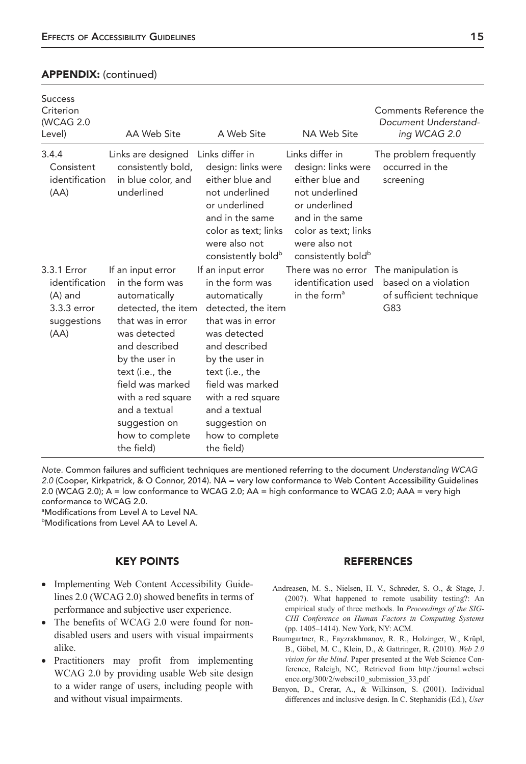## APPENDIX: (continued)

| <b>Success</b><br>Criterion<br>(WCAG 2.0<br>Level)                               | AA Web Site                                                                                                                                                                                                                                                                        | A Web Site                                                                                                                                                                                                                                                                         | NA Web Site                                                                                                                                                                               | Comments Reference the<br>Document Understand-<br>ing WCAG 2.0                                   |
|----------------------------------------------------------------------------------|------------------------------------------------------------------------------------------------------------------------------------------------------------------------------------------------------------------------------------------------------------------------------------|------------------------------------------------------------------------------------------------------------------------------------------------------------------------------------------------------------------------------------------------------------------------------------|-------------------------------------------------------------------------------------------------------------------------------------------------------------------------------------------|--------------------------------------------------------------------------------------------------|
| 3.4.4<br>Consistent<br>identification<br>(AA)                                    | Links are designed<br>consistently bold,<br>in blue color, and<br>underlined                                                                                                                                                                                                       | Links differ in<br>design: links were<br>either blue and<br>not underlined<br>or underlined<br>and in the same<br>color as text; links<br>were also not<br>consistently bold <sup>b</sup>                                                                                          | Links differ in<br>design: links were<br>either blue and<br>not underlined<br>or underlined<br>and in the same<br>color as text; links<br>were also not<br>consistently bold <sup>b</sup> | The problem frequently<br>occurred in the<br>screening                                           |
| 3.3.1 Error<br>identification<br>$(A)$ and<br>3.3.3 error<br>suggestions<br>(AA) | If an input error<br>in the form was<br>automatically<br>detected, the item<br>that was in error<br>was detected<br>and described<br>by the user in<br>text (i.e., the<br>field was marked<br>with a red square<br>and a textual<br>suggestion on<br>how to complete<br>the field) | If an input error<br>in the form was<br>automatically<br>detected, the item<br>that was in error<br>was detected<br>and described<br>by the user in<br>text (i.e., the<br>field was marked<br>with a red square<br>and a textual<br>suggestion on<br>how to complete<br>the field) | identification used<br>in the form <sup>a</sup>                                                                                                                                           | There was no error The manipulation is<br>based on a violation<br>of sufficient technique<br>G83 |

Note. Common failures and sufficient techniques are mentioned referring to the document Understanding WCAG 2.0 (Cooper, Kirkpatrick, & O Connor, 2014). NA = very low conformance to Web Content Accessibility Guidelines 2.0 (WCAG 2.0); A = low conformance to WCAG 2.0; AA = high conformance to WCAG 2.0; AAA = very high conformance to WCAG 2.0.

<sup>a</sup>Modifications from Level A to Level NA. **bModifications from Level AA to Level A.** 

## KEY POINTS

- Implementing Web Content Accessibility Guidelines 2.0 (WCAG 2.0) showed benefits in terms of performance and subjective user experience.
- The benefits of WCAG 2.0 were found for nondisabled users and users with visual impairments alike.
- Practitioners may profit from implementing WCAG 2.0 by providing usable Web site design to a wider range of users, including people with and without visual impairments.

### REFERENCES

- Andreasen, M. S., Nielsen, H. V., Schrøder, S. O., & Stage, J. (2007). What happened to remote usability testing?: An empirical study of three methods. In *Proceedings of the SIG-CHI Conference on Human Factors in Computing Systems* (pp. 1405–1414). New York, NY: ACM.
- Baumgartner, R., Fayzrakhmanov, R. R., Holzinger, W., Krüpl, B., Göbel, M. C., Klein, D., & Gattringer, R. (2010). *Web 2.0 vision for the blind*. Paper presented at the Web Science Conference, Raleigh, NC,. Retrieved from http://journal.websci ence.org/300/2/websci10\_submission\_33.pdf
- Benyon, D., Crerar, A., & Wilkinson, S. (2001). Individual differences and inclusive design. In C. Stephanidis (Ed.), *User*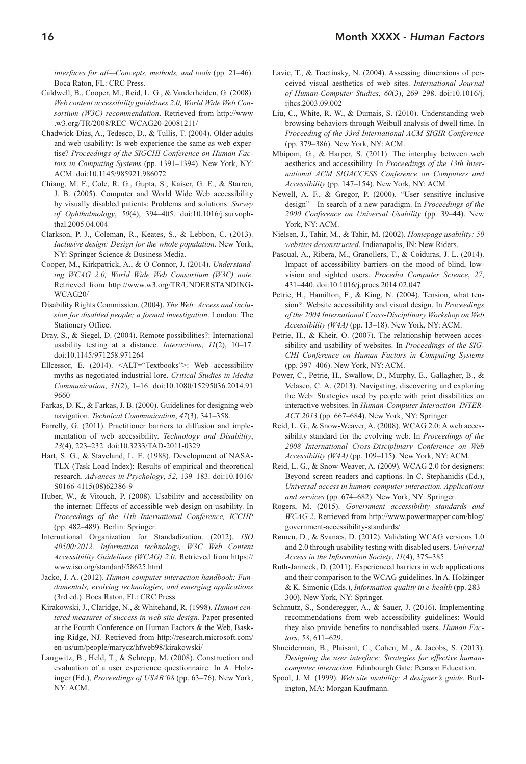*interfaces for all—Concepts, methods, and tools* (pp. 21–46). Boca Raton, FL: CRC Press.

- Caldwell, B., Cooper, M., Reid, L. G., & Vanderheiden, G. (2008). *Web content accessibility guidelines 2.0, World Wide Web Consortium (W3C) recommendation*. Retrieved from http://www .w3.org/TR/2008/REC-WCAG20-20081211/
- Chadwick-Dias, A., Tedesco, D., & Tullis, T. (2004). Older adults and web usability: Is web experience the same as web expertise? *Proceedings of the SIGCHI Conference on Human Factors in Computing Systems* (pp. 1391–1394). New York, NY: ACM. doi:10.1145/985921.986072
- Chiang, M. F., Cole, R. G., Gupta, S., Kaiser, G. E., & Starren, J. B. (2005). Computer and World Wide Web accessibility by visually disabled patients: Problems and solutions. *Survey of Ophthalmology*, *50*(4), 394–405. doi:10.1016/j.survophthal.2005.04.004
- Clarkson, P. J., Coleman, R., Keates, S., & Lebbon, C. (2013). *Inclusive design: Design for the whole population*. New York, NY: Springer Science & Business Media.
- Cooper, M., Kirkpatrick, A., & O Connor, J. (2014). *Understanding WCAG 2.0, World Wide Web Consortium (W3C) note*. Retrieved from http://www.w3.org/TR/UNDERSTANDING-WCAG20/
- Disability Rights Commission. (2004). *The Web: Access and inclusion for disabled people; a formal investigation*. London: The Stationery Office.
- Dray, S., & Siegel, D. (2004). Remote possibilities?: International usability testing at a distance. *Interactions*, *11*(2), 10–17. doi:10.1145/971258.971264
- Ellcessor, E. (2014). <ALT="Textbooks">: Web accessibility myths as negotiated industrial lore. *Critical Studies in Media Communication*, *31*(2), 1–16. doi:10.1080/15295036.2014.91 9660
- Farkas, D. K., & Farkas, J. B. (2000). Guidelines for designing web navigation. *Technical Communication*, *47*(3), 341–358.
- Farrelly, G. (2011). Practitioner barriers to diffusion and implementation of web accessibility. *Technology and Disability*, *23*(4), 223–232. doi:10.3233/TAD-2011-0329
- Hart, S. G., & Staveland, L. E. (1988). Development of NASA-TLX (Task Load Index): Results of empirical and theoretical research. *Advances in Psychology*, *52*, 139–183. doi:10.1016/ S0166-4115(08)62386-9
- Huber, W., & Vitouch, P. (2008). Usability and accessibility on the internet: Effects of accessible web design on usability. In *Proceedings of the 11th International Conference, ICCHP* (pp. 482–489). Berlin: Springer.
- International Organization for Standadization. (2012). *ISO 40500:2012. Information technology, W3C Web Content Accessibility Guidelines (WCAG) 2.0*. Retrieved from https:// www.iso.org/standard/58625.html
- Jacko, J. A. (2012). *Human computer interaction handbook: Fundamentals, evolving technologies, and emerging applications* (3rd ed.). Boca Raton, FL: CRC Press.
- Kirakowski, J., Claridge, N., & Whitehand, R. (1998). *Human centered measures of success in web site design*. Paper presented at the Fourth Conference on Human Factors & the Web, Basking Ridge, NJ. Retrieved from http://research.microsoft.com/ en-us/um/people/marycz/hfweb98/kirakowski/
- Laugwitz, B., Held, T., & Schrepp, M. (2008). Construction and evaluation of a user experience questionnaire. In A. Holzinger (Ed.), *Proceedings of USAB'08* (pp. 63–76). New York, NY: ACM.
- Lavie, T., & Tractinsky, N. (2004). Assessing dimensions of perceived visual aesthetics of web sites. *International Journal of Human-Computer Studies*, *60*(3), 269–298. doi:10.1016/j. ijhcs.2003.09.002
- Liu, C., White, R. W., & Dumais, S. (2010). Understanding web browsing behaviors through Weibull analysis of dwell time. In *Proceeding of the 33rd International ACM SIGIR Conference* (pp. 379–386). New York, NY: ACM.
- Mbipom, G., & Harper, S. (2011). The interplay between web aesthetics and accessibility. In *Proceedings of the 13th International ACM SIGACCESS Conference on Computers and Accessibility* (pp. 147–154). New York, NY: ACM.
- Newell, A. F., & Gregor, P. (2000). "User sensitive inclusive design"—In search of a new paradigm. In *Proceedings of the 2000 Conference on Universal Usability* (pp. 39–44). New York, NY: ACM.
- Nielsen, J., Tahir, M., & Tahir, M. (2002). *Homepage usability: 50 websites deconstructed*. Indianapolis, IN: New Riders.
- Pascual, A., Ribera, M., Granollers, T., & Coiduras, J. L. (2014). Impact of accessibility barriers on the mood of blind, lowvision and sighted users. *Procedia Computer Science*, *27*, 431–440. doi:10.1016/j.procs.2014.02.047
- Petrie, H., Hamilton, F., & King, N. (2004). Tension, what tension?: Website accessibility and visual design. In *Proceedings of the 2004 International Cross-Disciplinary Workshop on Web Accessibility (W4A)* (pp. 13–18). New York, NY: ACM.
- Petrie, H., & Kheir, O. (2007). The relationship between accessibility and usability of websites. In *Proceedings of the SIG-CHI Conference on Human Factors in Computing Systems* (pp. 397–406). New York, NY: ACM.
- Power, C., Petrie, H., Swallow, D., Murphy, E., Gallagher, B., & Velasco, C. A. (2013). Navigating, discovering and exploring the Web: Strategies used by people with print disabilities on interactive websites. In *Human-Computer Interaction–INTER-ACT 2013* (pp. 667–684). New York, NY: Springer.
- Reid, L. G., & Snow-Weaver, A. (2008). WCAG 2.0: A web accessibility standard for the evolving web. In *Proceedings of the 2008 International Cross-Disciplinary Conference on Web Accessibility (W4A)* (pp. 109–115). New York, NY: ACM.
- Reid, L. G., & Snow-Weaver, A. (2009). WCAG 2.0 for designers: Beyond screen readers and captions. In C. Stephanidis (Ed.), *Universal access in human-computer interaction. Applications and services* (pp. 674–682). New York, NY: Springer.
- Rogers, M. (2015). *Government accessibility standards and WCAG 2*. Retrieved from http://www.powermapper.com/blog/ government-accessibility-standards/
- Rømen, D., & Svanæs, D. (2012). Validating WCAG versions 1.0 and 2.0 through usability testing with disabled users. *Universal Access in the Information Society*, *11*(4), 375–385.
- Ruth-Janneck, D. (2011). Experienced barriers in web applications and their comparison to the WCAG guidelines. In A. Holzinger & K. Simonic (Eds.), *Information quality in e-health* (pp. 283– 300). New York, NY: Springer.
- Schmutz, S., Sonderegger, A., & Sauer, J. (2016). Implementing recommendations from web accessibility guidelines: Would they also provide benefits to nondisabled users. *Human Factors*, *58*, 611–629.
- Shneiderman, B., Plaisant, C., Cohen, M., & Jacobs, S. (2013). *Designing the user interface: Strategies for effective humancomputer interaction*. Edinbourgh Gate: Pearson Education.
- Spool, J. M. (1999). *Web site usability: A designer's guide*. Burlington, MA: Morgan Kaufmann.